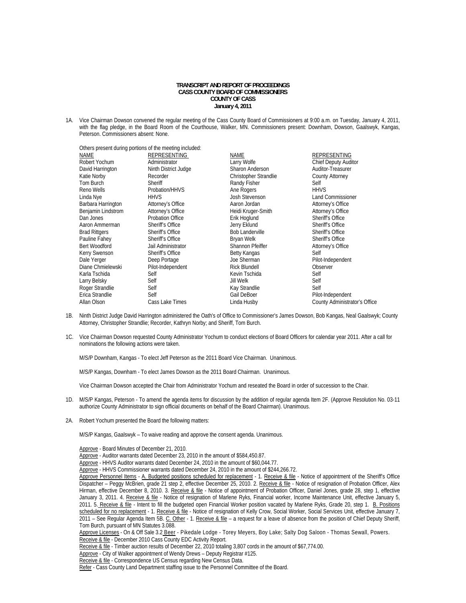# **TRANSCRIPT AND REPORT OF PROCEEDINGS CASS COUNTY BOARD OF COMMISSIONERS COUNTY OF CASS January 4, 2011**

1A. Vice Chairman Dowson convened the regular meeting of the Cass County Board of Commissioners at 9:00 a.m. on Tuesday, January 4, 2011, with the flag pledge, in the Board Room of the Courthouse, Walker, MN. Commissioners present: Downham, Dowson, Gaalswyk, Kangas, Peterson. Commissioners absent: None.

| Others present during portions of the meeting included: |                         |                               |  |  |
|---------------------------------------------------------|-------------------------|-------------------------------|--|--|
| REPRESENTING                                            | <b>NAME</b>             | REPRESENTING                  |  |  |
| Administrator                                           | Larry Wolfe             | <b>Chief Deputy Auditor</b>   |  |  |
| Ninth District Judge                                    | Sharon Anderson         | Auditor-Treasurer             |  |  |
| Recorder                                                | Christopher Strandlie   | <b>County Attorney</b>        |  |  |
| Sheriff                                                 | Randy Fisher            | Self                          |  |  |
| Probation/HHVS                                          | Ane Rogers              | <b>HHVS</b>                   |  |  |
| <b>HHVS</b>                                             | Josh Stevenson          | <b>Land Commissioner</b>      |  |  |
| Attorney's Office                                       | Aaron Jordan            | Attorney's Office             |  |  |
| Attorney's Office                                       | Heidi Kruger-Smith      | Attorney's Office             |  |  |
| Probation Office                                        | Erik Hoglund            | Sheriff's Office              |  |  |
| Sheriff's Office                                        | Jerry Eklund            | Sheriff's Office              |  |  |
| Sheriff's Office                                        | <b>Bob Landerville</b>  | <b>Sheriff's Office</b>       |  |  |
| Sheriff's Office                                        | Bryan Welk              | Sheriff's Office              |  |  |
| Jail Administrator                                      | <b>Shannon Pfeiffer</b> | Attorney's Office             |  |  |
| Sheriff's Office                                        | Betty Kangas            | Self                          |  |  |
| Deep Portage                                            | Joe Sherman             | Pilot-Independent             |  |  |
| Pilot-Independent                                       | <b>Rick Blundell</b>    | Observer                      |  |  |
| Self                                                    | Kevin Tschida           | Self                          |  |  |
| Self                                                    | <b>Jill Welk</b>        | Self                          |  |  |
| Self                                                    | Kay Strandlie           | Self                          |  |  |
| Self                                                    | Gail DeBoer             | Pilot-Independent             |  |  |
| Cass Lake Times                                         | Linda Husby             | County Administrator's Office |  |  |
|                                                         |                         |                               |  |  |

- 1B. Ninth District Judge David Harrington administered the Oath's of Office to Commissioner's James Dowson, Bob Kangas, Neal Gaalswyk; County Attorney, Christopher Strandlie; Recorder, Kathryn Norby; and Sheriff, Tom Burch.
- 1C. Vice Chairman Dowson requested County Administrator Yochum to conduct elections of Board Officers for calendar year 2011. After a call for nominations the following actions were taken.

M/S/P Downham, Kangas - To elect Jeff Peterson as the 2011 Board Vice Chairman. Unanimous.

M/S/P Kangas, Downham - To elect James Dowson as the 2011 Board Chairman. Unanimous.

Vice Chairman Dowson accepted the Chair from Administrator Yochum and reseated the Board in order of succession to the Chair.

- 1D. M/S/P Kangas, Peterson To amend the agenda items for discussion by the addition of regular agenda Item 2F. (Approve Resolution No. 03-11 authorize County Administrator to sign official documents on behalf of the Board Chairman). Unanimous.
- 2A. Robert Yochum presented the Board the following matters:

M/S/P Kangas, Gaalswyk – To waive reading and approve the consent agenda. Unanimous.

Approve - Board Minutes of December 21, 2010.

Approve - Auditor warrants dated December 23, 2010 in the amount of \$584,450.87.

Approve - HHVS Auditor warrants dated December 24, 2010 in the amount of \$60,044.77.

Approve - HHVS Commissioner warrants dated December 24, 2010 in the amount of \$244,266.72.

Approve Personnel Items - A. Budgeted positions scheduled for replacement - 1. Receive & file - Notice of appointment of the Sheriff's Office Dispatcher - Peggy McBrien, grade 21 step 2, effective December 25, 2010. 2. Receive & file - Notice of resignation of Probation Officer, Alex Hirman, effective December 8, 2010. 3. Receive & file - Notice of appointment of Probation Officer, Daniel Jones, grade 28, step 1, effective January 3, 2011. 4. Receive & file - Notice of resignation of Marlene Ryks, Financial worker, Income Maintenance Unit, effective January 5, 2011. 5. Receive & file - Intent to fill the budgeted open Financial Worker position vacated by Marlene Ryks, Grade 20, step 1. B. Positions scheduled for no replacement - 1. Receive & file - Notice of resignation of Kelly Crow, Social Worker, Social Services Unit, effective January 7, 2011 – See Regular Agenda Item 5B. C. Other - 1. Receive & file – a request for a leave of absence from the position of Chief Deputy Sheriff, Tom Burch, pursuant of MN Statutes 3.088.

Receive & file - Timber auction results of December 22, 2010 totaling 3,807 cords in the amount of \$67,774.00.

Receive & file - Correspondence US Census regarding New Census Data.

Approve Licenses - On & Off Sale 3.2 Beer - Pikedale Lodge - Torey Meyers, Boy Lake; Salty Dog Saloon - Thomas Sewall, Powers. Receive & file - December 2010 Cass County EDC Activity Report.

Approve - City of Walker appointment of Wendy Drews - Deputy Registrar #125.

Refer - Cass County Land Department staffing issue to the Personnel Committee of the Board.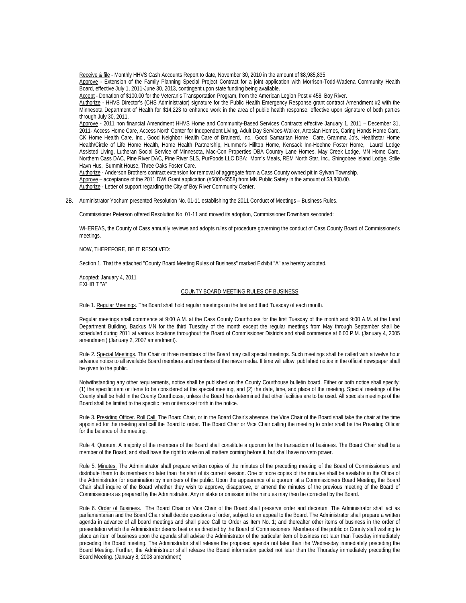Receive & file - Monthly HHVS Cash Accounts Report to date, November 30, 2010 in the amount of \$8,985,835.

Approve - Extension of the Family Planning Special Project Contract for a joint application with Morrison-Todd-Wadena Community Health Board, effective July 1, 2011-June 30, 2013, contingent upon state funding being available.

Accept - Donation of \$100.00 for the Veteran's Transportation Program, from the American Legion Post # 458, Boy River.

 Authorize - HHVS Director's (CHS Administrator) signature for the Public Health Emergency Response grant contract Amendment #2 with the Minnesota Department of Health for \$14,223 to enhance work in the area of public health response, effective upon signature of both parties through July 30, 2011.

Approve - 2011 non financial Amendment HHVS Home and Community-Based Services Contracts effective January 1, 2011 – December 31, 2011- Access Home Care, Access North Center for Independent Living, Adult Day Services-Walker, Artesian Homes, Caring Hands Home Care, CK Home Health Care, Inc., Good Neighbor Health Care of Brainerd, Inc., Good Samaritan Home Care, Gramma Jo's, Healthstar Home Health/Circle of Life Home Health, Home Health Partnership, Hummer's Hilltop Home, Kensack Inn-Hoehne Foster Home, Laurel Lodge Assisted Living, Lutheran Social Service of Minnesota, Mac-Con Properties DBA Country Lane Homes, May Creek Lodge, MN Home Care, Northern Cass DAC, Pine River DAC, Pine River SLS, PurFoods LLC DBA: Mom's Meals, REM North Star, Inc., Shingobee Island Lodge, Stille Havn Hus, Summit House, Three Oaks Foster Care.

 Authorize - Anderson Brothers contract extension for removal of aggregate from a Cass County owned pit in Sylvan Township. Approve – acceptance of the 2011 DWI Grant application (#5000-6558) from MN Public Safety in the amount of \$8,800.00. Authorize - Letter of support regarding the City of Boy River Community Center.

2B. Administrator Yochum presented Resolution No. 01-11 establishing the 2011 Conduct of Meetings – Business Rules.

Commissioner Peterson offered Resolution No. 01-11 and moved its adoption, Commissioner Downham seconded:

WHEREAS, the County of Cass annually reviews and adopts rules of procedure governing the conduct of Cass County Board of Commissioner's meetings.

NOW, THEREFORE, BE IT RESOLVED:

Section 1. That the attached "County Board Meeting Rules of Business" marked Exhibit "A" are hereby adopted.

Adopted: January 4, 2011 EXHIBIT "A"

## COUNTY BOARD MEETING RULES OF BUSINESS

Rule 1. Regular Meetings. The Board shall hold regular meetings on the first and third Tuesday of each month.

Regular meetings shall commence at 9:00 A.M. at the Cass County Courthouse for the first Tuesday of the month and 9:00 A.M. at the Land Department Building, Backus MN for the third Tuesday of the month except the regular meetings from May through September shall be scheduled during 2011 at various locations throughout the Board of Commissioner Districts and shall commence at 6:00 P.M. (January 4, 2005 amendment) (January 2, 2007 amendment).

Rule 2. Special Meetings. The Chair or three members of the Board may call special meetings. Such meetings shall be called with a twelve hour advance notice to all available Board members and members of the news media. If time will allow, published notice in the official newspaper shall be given to the public.

Notwithstanding any other requirements, notice shall be published on the County Courthouse bulletin board. Either or both notice shall specify: (1) the specific item or items to be considered at the special meeting, and (2) the date, time, and place of the meeting. Special meetings of the County shall be held in the County Courthouse, unless the Board has determined that other facilities are to be used. All specials meetings of the Board shall be limited to the specific item or items set forth in the notice.

Rule 3. Presiding Officer. Roll Call. The Board Chair, or in the Board Chair's absence, the Vice Chair of the Board shall take the chair at the time appointed for the meeting and call the Board to order. The Board Chair or Vice Chair calling the meeting to order shall be the Presiding Officer for the balance of the meeting.

Rule 4. Quorum. A majority of the members of the Board shall constitute a quorum for the transaction of business. The Board Chair shall be a member of the Board, and shall have the right to vote on all matters coming before it, but shall have no veto power.

Rule 5. Minutes. The Administrator shall prepare written copies of the minutes of the preceding meeting of the Board of Commissioners and distribute them to its members no later than the start of its current session. One or more copies of the minutes shall be available in the Office of the Administrator for examination by members of the public. Upon the appearance of a quorum at a Commissioners Board Meeting, the Board Chair shall inquire of the Board whether they wish to approve, disapprove, or amend the minutes of the previous meeting of the Board of Commissioners as prepared by the Administrator. Any mistake or omission in the minutes may then be corrected by the Board.

Rule 6. Order of Business. The Board Chair or Vice Chair of the Board shall preserve order and decorum. The Administrator shall act as parliamentarian and the Board Chair shall decide questions of order, subject to an appeal to the Board. The Administrator shall prepare a written agenda in advance of all board meetings and shall place Call to Order as Item No. 1; and thereafter other items of business in the order of presentation which the Administrator deems best or as directed by the Board of Commissioners. Members of the public or County staff wishing to place an item of business upon the agenda shall advise the Administrator of the particular item of business not later than Tuesday immediately preceding the Board meeting. The Administrator shall release the proposed agenda not later than the Wednesday immediately preceding the Board Meeting. Further, the Administrator shall release the Board information packet not later than the Thursday immediately preceding the Board Meeting. (January 8, 2008 amendment)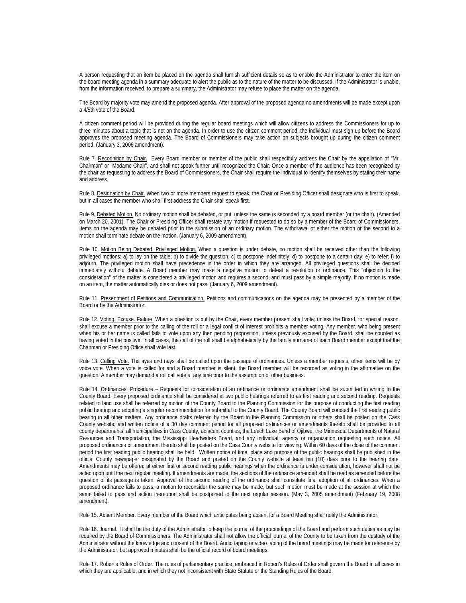A person requesting that an item be placed on the agenda shall furnish sufficient details so as to enable the Administrator to enter the item on the board meeting agenda in a summary adequate to alert the public as to the nature of the matter to be discussed. If the Administrator is unable, from the information received, to prepare a summary, the Administrator may refuse to place the matter on the agenda.

The Board by majority vote may amend the proposed agenda. After approval of the proposed agenda no amendments will be made except upon a 4/5th vote of the Board.

A citizen comment period will be provided during the regular board meetings which will allow citizens to address the Commissioners for up to three minutes about a topic that is not on the agenda. In order to use the citizen comment period, the individual must sign up before the Board approves the proposed meeting agenda. The Board of Commissioners may take action on subjects brought up during the citizen comment period. (January 3, 2006 amendment).

Rule 7. Recognition by Chair. Every Board member or member of the public shall respectfully address the Chair by the appellation of "Mr. Chairman" or "Madame Chair", and shall not speak further until recognized the Chair. Once a member of the audience has been recognized by the chair as requesting to address the Board of Commissioners, the Chair shall require the individual to identify themselves by stating their name and address.

Rule 8. Designation by Chair. When two or more members request to speak, the Chair or Presiding Officer shall designate who is first to speak, but in all cases the member who shall first address the Chair shall speak first.

Rule 9. Debated Motion. No ordinary motion shall be debated, or put, unless the same is seconded by a board member (or the chair). (Amended on March 20, 2001). The Chair or Presiding Officer shall restate any motion if requested to do so by a member of the Board of Commissioners. Items on the agenda may be debated prior to the submission of an ordinary motion. The withdrawal of either the motion or the second to a motion shall terminate debate on the motion. (January 6, 2009 amendment).

Rule 10. Motion Being Debated. Privileged Motion. When a question is under debate, no motion shall be received other than the following privileged motions: a) to lay on the table; b) to divide the question; c) to postpone indefinitely; d) to postpone to a certain day; e) to refer; f) to adjourn. The privileged motion shall have precedence in the order in which they are arranged. All privileged questions shall be decided immediately without debate. A Board member may make a negative motion to defeat a resolution or ordinance. This "objection to the consideration" of the matter is considered a privileged motion and requires a second, and must pass by a simple majority. If no motion is made on an item, the matter automatically dies or does not pass. (January 6, 2009 amendment).

Rule 11. Presentment of Petitions and Communication. Petitions and communications on the agenda may be presented by a member of the Board or by the Administrator.

Rule 12. Voting. Excuse. Failure. When a question is put by the Chair, every member present shall vote; unless the Board, for special reason, shall excuse a member prior to the calling of the roll or a legal conflict of interest prohibits a member voting. Any member, who being present when his or her name is called fails to vote upon any then pending proposition, unless previously excused by the Board, shall be counted as having voted in the positive. In all cases, the call of the roll shall be alphabetically by the family surname of each Board member except that the Chairman or Presiding Office shall vote last.

Rule 13. Calling Vote. The ayes and nays shall be called upon the passage of ordinances. Unless a member requests, other items will be by voice vote. When a vote is called for and a Board member is silent, the Board member will be recorded as voting in the affirmative on the question. A member may demand a roll call vote at any time prior to the assumption of other business.

Rule 14. Ordinances. Procedure - Requests for consideration of an ordinance or ordinance amendment shall be submitted in writing to the County Board. Every proposed ordinance shall be considered at two public hearings referred to as first reading and second reading. Requests related to land use shall be referred by motion of the County Board to the Planning Commission for the purpose of conducting the first reading public hearing and adopting a singular recommendation for submittal to the County Board. The County Board will conduct the first reading public hearing in all other matters. Any ordinance drafts referred by the Board to the Planning Commission or others shall be posted on the Cass County website; and written notice of a 30 day comment period for all proposed ordinances or amendments thereto shall be provided to all county departments, all municipalities in Cass County, adjacent counties, the Leech Lake Band of Ojibwe, the Minnesota Departments of Natural Resources and Transportation, the Mississippi Headwaters Board, and any individual, agency or organization requesting such notice. All proposed ordinances or amendment thereto shall be posted on the Cass County website for viewing. Within 60 days of the close of the comment period the first reading public hearing shall be held. Written notice of time, place and purpose of the public hearings shall be published in the official County newspaper designated by the Board and posted on the County website at least ten (10) days prior to the hearing date. Amendments may be offered at either first or second reading public hearings when the ordinance is under consideration, however shall not be acted upon until the next regular meeting. If amendments are made, the sections of the ordinance amended shall be read as amended before the question of its passage is taken. Approval of the second reading of the ordinance shall constitute final adoption of all ordinances. When a proposed ordinance fails to pass, a motion to reconsider the same may be made, but such motion must be made at the session at which the same failed to pass and action thereupon shall be postponed to the next regular session. (May 3, 2005 amendment) (February 19, 2008 amendment).

Rule 15. Absent Member. Every member of the Board which anticipates being absent for a Board Meeting shall notify the Administrator.

Rule 16. Journal. It shall be the duty of the Administrator to keep the journal of the proceedings of the Board and perform such duties as may be required by the Board of Commissioners. The Administrator shall not allow the official journal of the County to be taken from the custody of the Administrator without the knowledge and consent of the Board. Audio taping or video taping of the board meetings may be made for reference by the Administrator, but approved minutes shall be the official record of board meetings.

Rule 17. Robert's Rules of Order. The rules of parliamentary practice, embraced in Robert's Rules of Order shall govern the Board in all cases in which they are applicable, and in which they not inconsistent with State Statute or the Standing Rules of the Board.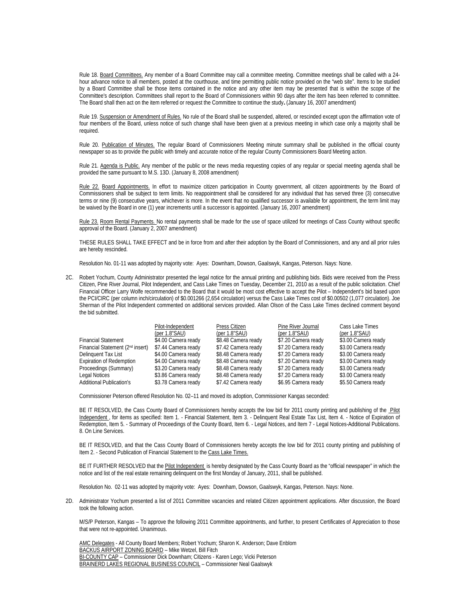Rule 18. Board Committees. Any member of a Board Committee may call a committee meeting. Committee meetings shall be called with a 24hour advance notice to all members, posted at the courthouse, and time permitting public notice provided on the "web site". Items to be studied by a Board Committee shall be those items contained in the notice and any other item may be presented that is within the scope of the Committee's description. Committees shall report to the Board of Commissioners within 90 days after the item has been referred to committee. The Board shall then act on the item referred or request the Committee to continue the study**.** (January 16, 2007 amendment)

Rule 19. Suspension or Amendment of Rules. No rule of the Board shall be suspended, altered, or rescinded except upon the affirmation vote of four members of the Board, unless notice of such change shall have been given at a previous meeting in which case only a majority shall be required.

Rule 20. Publication of Minutes. The regular Board of Commissioners Meeting minute summary shall be published in the official county newspaper so as to provide the public with timely and accurate notice of the regular County Commissioners Board Meeting action.

Rule 21. Agenda is Public. Any member of the public or the news media requesting copies of any regular or special meeting agenda shall be provided the same pursuant to M.S. 13D. (January 8, 2008 amendment)

Rule 22. Board Appointments. In effort to maximize citizen participation in County government, all citizen appointments by the Board of Commissioners shall be subject to term limits. No reappointment shall be considered for any individual that has served three (3) consecutive terms or nine (9) consecutive years, whichever is more. In the event that no qualified successor is available for appointment, the term limit may be waived by the Board in one (1) year increments until a successor is appointed. (January 16, 2007 amendment)

Rule 23. Room Rental Payments. No rental payments shall be made for the use of space utilized for meetings of Cass County without specific approval of the Board. (January 2, 2007 amendment)

THESE RULES SHALL TAKE EFFECT and be in force from and after their adoption by the Board of Commissioners, and any and all prior rules are hereby rescinded.

Resolution No. 01-11 was adopted by majority vote: Ayes: Downham, Dowson, Gaalswyk, Kangas, Peterson. Nays: None.

2C. Robert Yochum, County Administrator presented the legal notice for the annual printing and publishing bids. Bids were received from the Press Citizen, Pine River Journal, Pilot Independent, and Cass Lake Times on Tuesday, December 21, 2010 as a result of the public solicitation. Chief Financial Officer Larry Wolfe recommended to the Board that it would be most cost effective to accept the Pilot – Independent's bid based upon the PCI/CIRC (per column inch/circulation) of \$0.001266 (2,654 circulation) versus the Cass Lake Times cost of \$0.00502 (1,077 circulation). Joe Sherman of the Pilot Independent commented on additional services provided. Allan Olson of the Cass Lake Times declined comment beyond the bid submitted.

|                                              | Pilot-Independent        | Press Citizen       | Pine River Journal  | Cass Lake Times     |
|----------------------------------------------|--------------------------|---------------------|---------------------|---------------------|
|                                              | $(\text{per } 1.8"$ SAU) | (per $1.8$ "SAU)    | (per $1.8$ "SAU)    | (per $1.8$ "SAU)    |
| <b>Financial Statement</b>                   | \$4.00 Camera ready      | \$8.48 Camera ready | \$7.20 Camera ready | \$3.00 Camera ready |
| Financial Statement (2 <sup>nd</sup> insert) | \$7.44 Camera ready      | \$7.42 Camera ready | \$7.20 Camera ready | \$3.00 Camera ready |
| Delinguent Tax List                          | \$4.00 Camera ready      | \$8.48 Camera ready | \$7.20 Camera ready | \$3.00 Camera ready |
| <b>Expiration of Redemption</b>              | \$4.00 Camera ready      | \$8.48 Camera ready | \$7.20 Camera ready | \$3.00 Camera ready |
| Proceedings (Summary)                        | \$3.20 Camera ready      | \$8.48 Camera ready | \$7.20 Camera ready | \$3.00 Camera ready |
| Legal Notices                                | \$3.86 Camera ready      | \$8.48 Camera ready | \$7.20 Camera ready | \$3.00 Camera ready |
| <b>Additional Publication's</b>              | \$3.78 Camera ready      | \$7.42 Camera ready | \$6.95 Camera ready | \$5.50 Camera ready |
|                                              |                          |                     |                     |                     |

Commissioner Peterson offered Resolution No. 02–11 and moved its adoption, Commissioner Kangas seconded:

BE IT RESOLVED, the Cass County Board of Commissioners hereby accepts the low bid for 2011 county printing and publishing of the Pilot Independent , for items as specified: Item 1. - Financial Statement, Item 3. - Delinquent Real Estate Tax List, Item 4. - Notice of Expiration of Redemption, Item 5. - Summary of Proceedings of the County Board, Item 6. - Legal Notices, and Item 7 - Legal Notices-Additional Publications. 8. On Line Services.

BE IT RESOLVED, and that the Cass County Board of Commissioners hereby accepts the low bid for 2011 county printing and publishing of Item 2. - Second Publication of Financial Statement to the Cass Lake Times.

BE IT FURTHER RESOLVED that the Pilot Independent is hereby designated by the Cass County Board as the "official newspaper" in which the notice and list of the real estate remaining delinquent on the first Monday of January, 2011, shall be published.

Resolution No. 02-11 was adopted by majority vote: Ayes: Downham, Dowson, Gaalswyk, Kangas, Peterson. Nays: None.

2D. Administrator Yochum presented a list of 2011 Committee vacancies and related Citizen appointment applications. After discussion, the Board took the following action.

M/S/P Peterson, Kangas – To approve the following 2011 Committee appointments, and further, to present Certificates of Appreciation to those that were not re-appointed. Unanimous.

AMC Delegates - All County Board Members; Robert Yochum; Sharon K. Anderson; Dave Enblom BACKUS AIRPORT ZONING BOARD – Mike Wetzel, Bill Fitch BI-COUNTY CAP – Commissioner Dick Downham; Citizens - Karen Lego; Vicki Peterson BRAINERD LAKES REGIONAL BUSINESS COUNCIL – Commissioner Neal Gaalswyk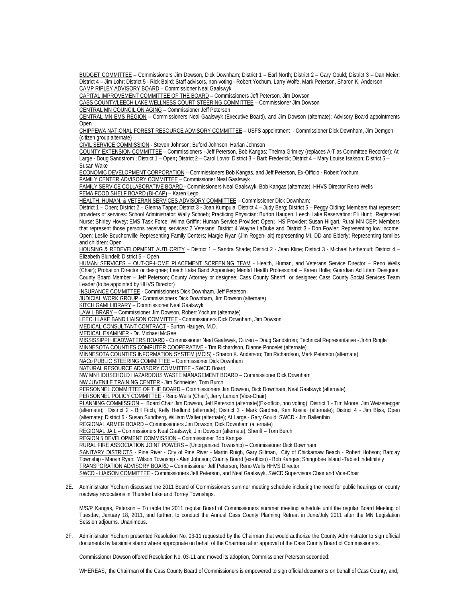BUDGET COMMITTEE – Commissioners Jim Dowson, Dick Downham; District 1 – Earl North; District 2 – Gary Gould; District 3 – Dan Meier; District 4 – Jim Lohr; District 5 - Rick Baird; Staff advisors, non-voting - Robert Yochum, Larry Wolfe, Mark Peterson, Sharon K. Anderson CAMP RIPLEY ADVISORY BOARD – Commissioner Neal Gaalswyk

CAPITAL IMPROVEMENT COMMITTEE OF THE BOARD – Commissioners Jeff Peterson, Jim Dowson

CASS COUNTY/LEECH LAKE WELLNESS COURT STEERING COMMITTEE – Commissioner Jim Dowson

CENTRAL MN COUNCIL ON AGING – Commissioner Jeff Peterson

 CENTRAL MN EMS REGION – Commissioners Neal Gaalswyk (Executive Board), and Jim Dowson (alternate); Advisory Board appointments Open

 CHIPPEWA NATIONAL FOREST RESOURCE ADVISORY COMMITTEE – USFS appointment - Commissioner Dick Downham, Jim Demgen (citizen group alternate)

CIVIL SERVICE COMMISSION - Steven Johnson; Buford Johnson; Harlan Johnson

COUNTY EXTENSION COMMITTEE – Commissioners - Jeff Peterson, Bob Kangas; Thelma Grimley (replaces A-T as Committee Recorder); At Large - Doug Sandstrom ; District 1 – Open**;** District 2 – Carol Lovro; District 3 – Barb Frederick; District 4 – Mary Louise Isakson; District 5 – Susan Wake

 ECONOMIC DEVELOPMENT CORPORATION – Commissioners Bob Kangas, and Jeff Peterson, Ex-Officio - Robert Yochum FAMILY CENTER ADVISORY COMMITTEE – Commissioner Neal Gaalswyk

FAMILY SERVICE COLLABORATIVE BOARD - Commissioners Neal Gaalswyk, Bob Kangas (alternate), HHVS Director Reno Wells FEMA FOOD SHELF BOARD (BI-CAP) – Karen Lego

HEALTH, HUMAN, & VETERAN SERVICES ADVISORY COMMITTEE – Commissioner Dick Downham;

District 1 – Open; District 2 – Glenna Tappe; District 3 - Joan Kumpula; District 4 – Judy Berg; District 5 – Peggy Olding; Members that represent providers of services: School Administrator: Wally Schoeb; Practicing Physician: Burton Haugen; Leech Lake Reservation: Eli Hunt; Registered Nurse: Shirley Hovey; EMS Task Force: Wilma Griffin; Human Service Provider: Open**;** HS Provider: Susan Hilgart, Rural MN CEP; Members that represent those persons receiving services: 2 Veterans: District 4 Wayne LaDuke and District 3 - Don Fowler; Representing low income: Open; Leslie Bouchonville Representing Family Centers; Margie Ryan (Jim Rogen- alt) representing MI, DD and Elderly; Representing families and children: Open

HOUSING & REDEVELOPMENT AUTHORITY – District 1 – Sandra Shade; District 2 - Jean Kline; District 3 - Michael Nethercutt; District 4 – Elizabeth Blundell; District 5 – Open

HUMAN SERVICES – OUT-OF-HOME PLACEMENT SCREENING TEAM - Health, Human, and Veterans Service Director – Reno Wells (Chair); Probation Director or designee; Leech Lake Band Appointee; Mental Health Professional – Karen Holle; Guardian Ad Litem Designee; County Board Member – Jeff Peterson; County Attorney or designee; Cass County Sheriff or designee; Cass County Social Services Team Leader (to be appointed by HHVS Director)

INSURANCE COMMITTEE - Commissioners Dick Downham, Jeff Peterson

JUDICIAL WORK GROUP - Commissioners Dick Downham, Jim Dowson (alternate)

KITCHIGAMI LIBRARY – Commissioner Neal Gaalswyk

LAW LIBRARY – Commissioner Jim Dowson, Robert Yochum (alternate)

LEECH LAKE BAND LIAISON COMMITTEE - Commissioners Dick Downham, Jim Dowson

MEDICAL CONSULTANT CONTRACT - Burton Haugen, M.D.

MEDICAL EXAMINER - Dr. Michael McGee

MISSISSIPPI HEADWATERS BOARD - Commissioner Neal Gaalswyk, Citizen – Doug Sandstrom; Technical Representative - John Ringle MINNESOTA COUNTIES COMPUTER COOPERATIVE - Tim Richardson, Dianne Poncelet (alternate)

MINNESOTA COUNTIES INFORMATION SYSTEM (MCIS) - Sharon K. Anderson; Tim Richardson, Mark Peterson (alternate)

NACo PUBLIC STEERING COMMITTEE – Commissioner Dick Downham

NATURAL RESOURCE ADVISORY COMMITTEE - SWCD Board

NW MN HOUSEHOLD HAZARDOUS WASTE MANAGEMENT BOARD – Commissioner Dick Downham

NW JUVENILE TRAINING CENTER - Jim Schneider, Tom Burch

PERSONNEL COMMITTEE OF THE BOARD - Commissioners Jim Dowson, Dick Downham, Neal Gaalswyk (alternate)

PERSONNEL POLICY COMMITTEE - Reno Wells (Chair), Jerry Lamon (Vice-Chair)

PLANNING COMMISSION - Board Chair Jim Dowson, Jeff Peterson (alternate)(Ex-offcio, non voting); District 1 - Tim Moore, Jim Weizenegger (alternate); District 2 - Bill Fitch, Kelly Hedlund (alternate); District 3 - Mark Gardner, Ken Kostial (alternate); District 4 - Jim Bliss, Open (alternate); District 5 - Susan Sundberg, William Walter (alternate); At Large - Gary Gould; SWCD - Jim Ballenthin

REGIONAL ARMER BOARD – Commissioners Jim Dowson, Dick Downham (alternate)

REGIONAL JAIL – Commissioners Neal Gaalswyk, Jim Dowson (alternate), Sheriff – Tom Burch

REGION 5 DEVELOPMENT COMMISSION – Commissioner Bob Kangas

RURAL FIRE ASSOCIATION JOINT POWERS – (Unorganized Township) – Commissioner Dick Downham

SANITARY DISTRICTS - Pine River - City of Pine River - Martin Ruigh, Gary Siltman, City of Chickamaw Beach - Robert Hobson; Barclay Township - Marvin Ryan; Wilson Township - Alan Johnson; County Board (ex-officio) - Bob Kangas; Shingobee Island -Tabled indefinitely

TRANSPORATION ADVISORY BOARD – Commissioner Jeff Peterson, Reno Wells HHVS Director

SWCD - LIAISON COMMITTEE - Commissioners Jeff Peterson, and Neal Gaalswyk, SWCD Supervisors Chair and Vice-Chair

2E. Administrator Yochum discussed the 2011 Board of Commissioners summer meeting schedule including the need for public hearings on county roadway revocations in Thunder Lake and Torrey Townships.

 M/S/P Kangas, Peterson – To table the 2011 regular Board of Commissioners summer meeting schedule until the regular Board Meeting of Tuesday, January 18, 2011, and further, to conduct the Annual Cass County Planning Retreat in June/July 2011 after the MN Legislation Session adjourns. Unanimous.

2F. Administrator Yochum presented Resolution No. 03-11 requested by the Chairman that would authorize the County Administrator to sign official documents by facsimile stamp where appropriate on behalf of the Chairman after approval of the Cass County Board of Commissioners.

Commissioner Dowson offered Resolution No. 03-11 and moved its adoption, Commissioner Peterson seconded:

WHEREAS, the Chairman of the Cass County Board of Commissioners is empowered to sign official documents on behalf of Cass County, and,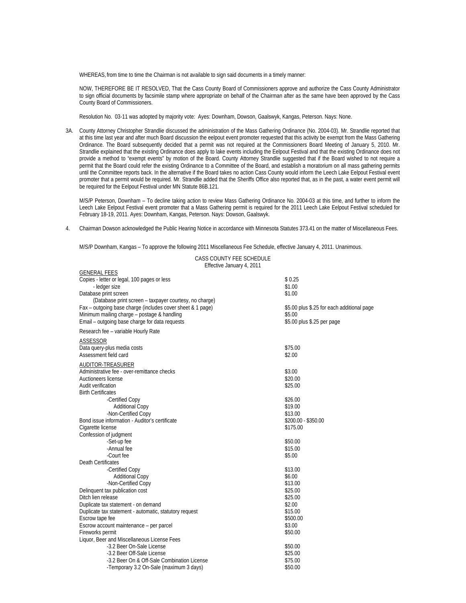WHEREAS, from time to time the Chairman is not available to sign said documents in a timely manner:

NOW, THEREFORE BE IT RESOLVED, That the Cass County Board of Commissioners approve and authorize the Cass County Administrator to sign official documents by facsimile stamp where appropriate on behalf of the Chairman after as the same have been approved by the Cass County Board of Commissioners.

Resolution No. 03-11 was adopted by majority vote: Ayes: Downham, Dowson, Gaalswyk, Kangas, Peterson. Nays: None.

3A. County Attorney Christopher Strandlie discussed the administration of the Mass Gathering Ordinance (No. 2004-03). Mr. Strandlie reported that at this time last year and after much Board discussion the eelpout event promoter requested that this activity be exempt from the Mass Gathering Ordinance. The Board subsequently decided that a permit was not required at the Commissioners Board Meeting of January 5, 2010. Mr. Strandlie explained that the existing Ordinance does apply to lake events including the Eelpout Festival and that the existing Ordinance does not provide a method to "exempt events" by motion of the Board. County Attorney Strandlie suggested that if the Board wished to not require a permit that the Board could refer the existing Ordinance to a Committee of the Board, and establish a moratorium on all mass gathering permits until the Committee reports back. In the alternative if the Board takes no action Cass County would inform the Leech Lake Eelpout Festival event promoter that a permit would be required. Mr. Strandlie added that the Sheriffs Office also reported that, as in the past, a water event permit will be required for the Eelpout Festival under MN Statute 86B.121.

M/S/P Peterson, Downham – To decline taking action to review Mass Gathering Ordinance No. 2004-03 at this time, and further to inform the Leech Lake Eelpout Festival event promoter that a Mass Gathering permit is required for the 2011 Leech Lake Eelpout Festival scheduled for February 18-19, 2011. Ayes: Downham, Kangas, Peterson. Nays: Dowson, Gaalswyk.

4.Chairman Dowson acknowledged the Public Hearing Notice in accordance with Minnesota Statutes 373.41 on the matter of Miscellaneous Fees.

M/S/P Downham, Kangas – To approve the following 2011 Miscellaneous Fee Schedule, effective January 4, 2011. Unanimous.

GENERAL FEES

CASS COUNTY FEE SCHEDULE Effective January 4, 2011

|                                                              | \$0.25                                     |
|--------------------------------------------------------------|--------------------------------------------|
| Copies - letter or legal, 100 pages or less<br>- ledger size | \$1.00                                     |
| Database print screen                                        | \$1.00                                     |
| (Database print screen - taxpayer courtesy, no charge)       |                                            |
| Fax – outgoing base charge (includes cover sheet & 1 page)   | \$5.00 plus \$.25 for each additional page |
| Minimum mailing charge - postage & handling                  | \$5.00                                     |
| Email - outgoing base charge for data requests               | \$5.00 plus \$.25 per page                 |
| Research fee - variable Hourly Rate                          |                                            |
|                                                              |                                            |
| ASSESSOR<br>Data query-plus media costs                      | \$75.00                                    |
| Assessment field card                                        | \$2.00                                     |
|                                                              |                                            |
| AUDITOR-TREASURER                                            |                                            |
| Administrative fee - over-remittance checks                  | \$3.00                                     |
| Auctioneers license                                          | \$20.00                                    |
| Audit verification                                           | \$25.00                                    |
| <b>Birth Certificates</b>                                    |                                            |
| -Certified Copy                                              | \$26.00                                    |
| <b>Additional Copy</b>                                       | \$19.00                                    |
| -Non-Certified Copy                                          | \$13.00                                    |
| Bond issue information - Auditor's certificate               | \$200.00 - \$350.00                        |
| Cigarette license                                            | \$175.00                                   |
| Confession of judgment                                       |                                            |
| -Set-up fee                                                  | \$50.00                                    |
| -Annual fee                                                  | \$15.00                                    |
| -Court fee                                                   | \$5.00                                     |
| Death Certificates                                           |                                            |
| -Certified Copy                                              | \$13.00                                    |
| <b>Additional Copy</b>                                       | \$6.00                                     |
| -Non-Certified Copy                                          | \$13.00                                    |
| Delinquent tax publication cost                              | \$25.00                                    |
| Ditch lien release                                           | \$25.00                                    |
| Duplicate tax statement - on demand                          | \$2.00                                     |
| Duplicate tax statement - automatic, statutory request       | \$15.00                                    |
| Escrow tape fee                                              | \$500.00                                   |
| Escrow account maintenance - per parcel                      | \$3.00                                     |
| Fireworks permit                                             | \$50.00                                    |
| Liquor, Beer and Miscellaneous License Fees                  |                                            |
| -3.2 Beer On-Sale License                                    | \$50.00                                    |
| -3.2 Beer Off-Sale License                                   | \$25.00                                    |
| -3.2 Beer On & Off-Sale Combination License                  | \$75.00                                    |
| -Temporary 3.2 On-Sale (maximum 3 days)                      | \$50.00                                    |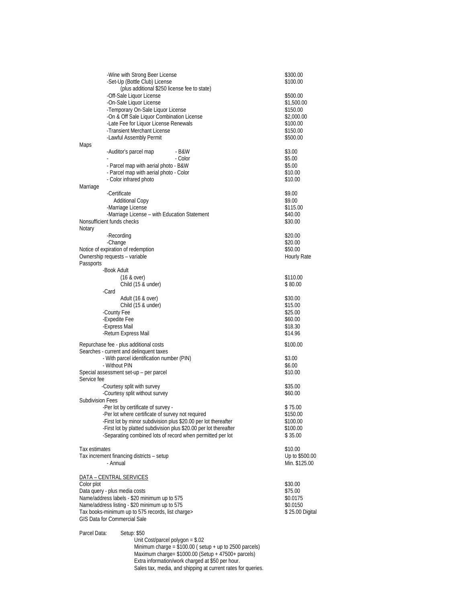| -Wine with Strong Beer License<br>-Set-Up (Bottle Club) License                                                                                                                                                                                                                                                           | \$300.00<br>\$100.00                                                                 |
|---------------------------------------------------------------------------------------------------------------------------------------------------------------------------------------------------------------------------------------------------------------------------------------------------------------------------|--------------------------------------------------------------------------------------|
| (plus additional \$250 license fee to state)<br>-Off-Sale Liquor License<br>-On-Sale Liquor License<br>-Temporary On-Sale Liquor License<br>-On & Off Sale Liquor Combination License<br>-Late Fee for Liquor License Renewals<br>-Transient Merchant License<br>-Lawful Assembly Permit                                  | \$500.00<br>\$1,500.00<br>\$150.00<br>\$2,000.00<br>\$100.00<br>\$150.00<br>\$500.00 |
| Maps                                                                                                                                                                                                                                                                                                                      |                                                                                      |
| -Auditor's parcel map<br>- B&W<br>- Color<br>- Parcel map with aerial photo - B&W<br>- Parcel map with aerial photo - Color<br>- Color infrared photo                                                                                                                                                                     | \$3.00<br>\$5.00<br>\$5.00<br>\$10.00<br>\$10.00                                     |
| Marriage                                                                                                                                                                                                                                                                                                                  |                                                                                      |
| -Certificate<br><b>Additional Copy</b><br>-Marriage License<br>-Marriage License - with Education Statement<br>Nonsufficient funds checks                                                                                                                                                                                 | \$9.00<br>\$9.00<br>\$115.00<br>\$40.00<br>\$30.00                                   |
| Notary<br>-Recording                                                                                                                                                                                                                                                                                                      | \$20.00                                                                              |
| -Change<br>Notice of expiration of redemption<br>Ownership requests - variable<br>Passports                                                                                                                                                                                                                               | \$20.00<br>\$50.00<br>Hourly Rate                                                    |
| -Book Adult                                                                                                                                                                                                                                                                                                               |                                                                                      |
| $(16 \& over)$<br>Child (15 & under)<br>-Card                                                                                                                                                                                                                                                                             | \$110.00<br>\$80.00                                                                  |
| Adult (16 & over)<br>Child (15 & under)<br>-County Fee<br>-Expedite Fee<br>-Express Mail<br>-Return Express Mail                                                                                                                                                                                                          | \$30.00<br>\$15.00<br>\$25.00<br>\$60.00<br>\$18.30<br>\$14.96                       |
|                                                                                                                                                                                                                                                                                                                           |                                                                                      |
| Repurchase fee - plus additional costs<br>Searches - current and delinquent taxes<br>- With parcel identification number (PIN)<br>- Without PIN<br>Special assessment set-up - per parcel<br>Service fee                                                                                                                  | \$100.00<br>\$3.00<br>\$6.00<br>\$10.00                                              |
| -Courtesy split with survey                                                                                                                                                                                                                                                                                               | \$35.00                                                                              |
| -Courtesy split without survey                                                                                                                                                                                                                                                                                            | \$60.00                                                                              |
| <b>Subdivision Fees</b><br>-Per lot by certificate of survey -<br>-Per lot where certificate of survey not required<br>-First lot by minor subdivision plus \$20.00 per lot thereafter<br>-First lot by platted subdivision plus \$20.00 per lot thereafter<br>-Separating combined lots of record when permitted per lot | \$75.00<br>\$150.00<br>\$100.00<br>\$100.00<br>\$35.00                               |
| Tax estimates<br>Tax increment financing districts - setup<br>- Annual                                                                                                                                                                                                                                                    | \$10.00<br>Up to \$500.00<br>Min. \$125.00                                           |
| DATA - CENTRAL SERVICES                                                                                                                                                                                                                                                                                                   |                                                                                      |
| Color plot<br>Data query - plus media costs<br>Name/address labels - \$20 minimum up to 575<br>Name/address listing - \$20 minimum up to 575<br>Tax books-minimum up to 575 records, list charge><br><b>GIS Data for Commercial Sale</b>                                                                                  | \$30.00<br>\$75.00<br>\$0.0175<br>\$0.0150<br>\$25.00 Digital                        |
| Parcel Data:<br>Setup: \$50<br>Unit Cost/parcel polygon = $$.02$<br>Minimum charge = $$100.00$ (setup + up to 2500 parcels)<br>Maximum charge= $$1000.00$ (Setup + 47500+ parcels)                                                                                                                                        |                                                                                      |

Extra information/work charged at \$50 per hour.

Sales tax, media, and shipping at current rates for queries.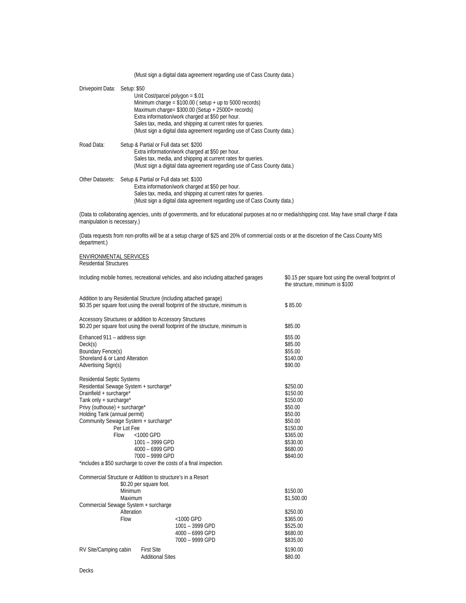|                                                                |                                                             | (Must sign a digital data agreement regarding use of Cass County data.)                                          |                                                                                                                                                 |
|----------------------------------------------------------------|-------------------------------------------------------------|------------------------------------------------------------------------------------------------------------------|-------------------------------------------------------------------------------------------------------------------------------------------------|
| Drivepoint Data: Setup: \$50                                   |                                                             |                                                                                                                  |                                                                                                                                                 |
|                                                                |                                                             | Unit Cost/parcel polygon = $$.01$                                                                                |                                                                                                                                                 |
|                                                                |                                                             | Minimum charge = $$100.00$ (setup + up to 5000 records)                                                          |                                                                                                                                                 |
|                                                                |                                                             | Maximum charge= \$300.00 (Setup + 25000+ records)                                                                |                                                                                                                                                 |
|                                                                |                                                             | Extra information/work charged at \$50 per hour.                                                                 |                                                                                                                                                 |
|                                                                |                                                             | Sales tax, media, and shipping at current rates for queries.                                                     |                                                                                                                                                 |
|                                                                |                                                             | (Must sign a digital data agreement regarding use of Cass County data.)                                          |                                                                                                                                                 |
| Road Data:                                                     | Setup & Partial or Full data set: \$200                     |                                                                                                                  |                                                                                                                                                 |
|                                                                |                                                             | Extra information/work charged at \$50 per hour.                                                                 |                                                                                                                                                 |
|                                                                |                                                             | Sales tax, media, and shipping at current rates for queries.                                                     |                                                                                                                                                 |
|                                                                |                                                             | (Must sign a digital data agreement regarding use of Cass County data.)                                          |                                                                                                                                                 |
| Other Datasets:                                                | Setup & Partial or Full data set: \$100                     |                                                                                                                  |                                                                                                                                                 |
|                                                                |                                                             | Extra information/work charged at \$50 per hour.<br>Sales tax, media, and shipping at current rates for queries. |                                                                                                                                                 |
|                                                                |                                                             | (Must sign a digital data agreement regarding use of Cass County data.)                                          |                                                                                                                                                 |
|                                                                |                                                             |                                                                                                                  |                                                                                                                                                 |
| manipulation is necessary.)                                    |                                                             |                                                                                                                  | (Data to collaborating agencies, units of governments, and for educational purposes at no or media/shipping cost. May have small charge if data |
|                                                                |                                                             |                                                                                                                  |                                                                                                                                                 |
| department.)                                                   |                                                             |                                                                                                                  | (Data requests from non-profits will be at a setup charge of \$25 and 20% of commercial costs or at the discretion of the Cass County MIS       |
|                                                                |                                                             |                                                                                                                  |                                                                                                                                                 |
| <b>ENVIRONMENTAL SERVICES</b><br><b>Residential Structures</b> |                                                             |                                                                                                                  |                                                                                                                                                 |
|                                                                |                                                             |                                                                                                                  |                                                                                                                                                 |
|                                                                |                                                             | Including mobile homes, recreational vehicles, and also including attached garages                               | \$0.15 per square foot using the overall footprint of                                                                                           |
|                                                                |                                                             |                                                                                                                  | the structure, minimum is \$100                                                                                                                 |
|                                                                |                                                             | Addition to any Residential Structure (including attached garage)                                                |                                                                                                                                                 |
|                                                                |                                                             | \$0.35 per square foot using the overall footprint of the structure, minimum is                                  | \$85.00                                                                                                                                         |
|                                                                | Accessory Structures or addition to Accessory Structures    |                                                                                                                  |                                                                                                                                                 |
|                                                                |                                                             | \$0.20 per square foot using the overall footprint of the structure, minimum is                                  | \$85.00                                                                                                                                         |
| Enhanced 911 - address sign                                    |                                                             |                                                                                                                  | \$55.00                                                                                                                                         |
| Deck(s)                                                        |                                                             |                                                                                                                  | \$85.00                                                                                                                                         |
| Boundary Fence(s)                                              |                                                             |                                                                                                                  | \$55.00                                                                                                                                         |
| Shoreland & or Land Alteration                                 |                                                             |                                                                                                                  | \$140.00                                                                                                                                        |
| Advertising Sign(s)                                            |                                                             |                                                                                                                  | \$90.00                                                                                                                                         |
| <b>Residential Septic Systems</b>                              |                                                             |                                                                                                                  |                                                                                                                                                 |
|                                                                | Residential Sewage System + surcharge*                      |                                                                                                                  | \$250.00                                                                                                                                        |
| Drainfield + surcharge*                                        |                                                             |                                                                                                                  | \$150.00                                                                                                                                        |
| Tank only + surcharge*                                         |                                                             |                                                                                                                  | \$150.00                                                                                                                                        |
| Privy (outhouse) + surcharge*                                  |                                                             |                                                                                                                  | \$50.00                                                                                                                                         |
| Holding Tank (annual permit)                                   |                                                             |                                                                                                                  | \$50.00                                                                                                                                         |
|                                                                | Community Sewage System + surcharge*                        |                                                                                                                  | \$50.00                                                                                                                                         |
|                                                                | Per Lot Fee<br>Flow                                         |                                                                                                                  | \$150.00                                                                                                                                        |
|                                                                | <1000 GPD<br>1001 - 3999 GPD                                |                                                                                                                  | \$365.00<br>\$530.00                                                                                                                            |
|                                                                | 4000 - 6999 GPD                                             |                                                                                                                  | \$680.00                                                                                                                                        |
|                                                                | 7000 - 9999 GPD                                             |                                                                                                                  | \$840.00                                                                                                                                        |
|                                                                |                                                             | *includes a \$50 surcharge to cover the costs of a final inspection.                                             |                                                                                                                                                 |
|                                                                | Commercial Structure or Addition to structure's in a Resort |                                                                                                                  |                                                                                                                                                 |
|                                                                | \$0.20 per square foot.                                     |                                                                                                                  |                                                                                                                                                 |
|                                                                | Minimum                                                     |                                                                                                                  | \$150.00                                                                                                                                        |
|                                                                | Maximum                                                     |                                                                                                                  | \$1,500.00                                                                                                                                      |
|                                                                | Commercial Sewage System + surcharge                        |                                                                                                                  |                                                                                                                                                 |
|                                                                | Alteration                                                  |                                                                                                                  | \$250.00                                                                                                                                        |
|                                                                | Flow                                                        | <1000 GPD                                                                                                        | \$365.00                                                                                                                                        |
|                                                                |                                                             | 1001 - 3999 GPD                                                                                                  | \$525.00                                                                                                                                        |
|                                                                |                                                             | 4000 - 6999 GPD                                                                                                  | \$680.00                                                                                                                                        |
|                                                                |                                                             | 7000 - 9999 GPD                                                                                                  | \$835.00                                                                                                                                        |
| RV Site/Camping cabin                                          | <b>First Site</b>                                           |                                                                                                                  | \$190.00                                                                                                                                        |
|                                                                | <b>Additional Sites</b>                                     |                                                                                                                  | \$80.00                                                                                                                                         |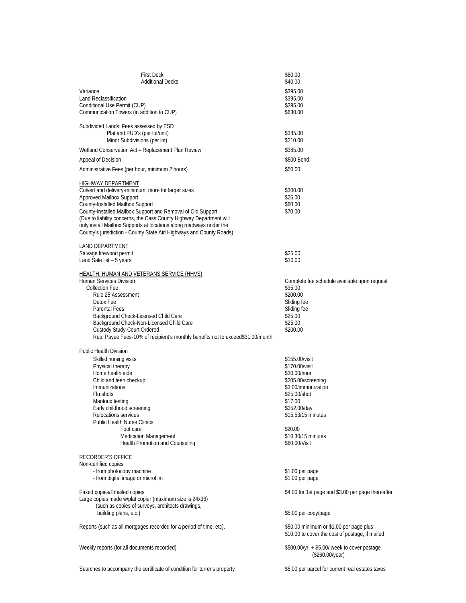| <b>First Deck</b>                                                              | \$80.00                                                                                    |
|--------------------------------------------------------------------------------|--------------------------------------------------------------------------------------------|
| <b>Additional Decks</b>                                                        | \$40.00                                                                                    |
| Variance                                                                       | \$395.00                                                                                   |
| <b>Land Reclassification</b>                                                   | \$395.00                                                                                   |
| Conditional Use Permit (CUP)                                                   | \$395.00                                                                                   |
| Communication Towers (in addition to CUP)                                      | \$630.00                                                                                   |
| Subdivided Lands: Fees assessed by ESD                                         |                                                                                            |
| Plat and PUD's (per lot/unit)                                                  | \$385.00                                                                                   |
| Minor Subdivisions (per lot)                                                   | \$210.00                                                                                   |
| Wetland Conservation Act - Replacement Plan Review                             | \$385.00                                                                                   |
| Appeal of Decision                                                             | \$500 Bond                                                                                 |
| Administrative Fees (per hour, minimum 2 hours)                                | \$50.00                                                                                    |
|                                                                                |                                                                                            |
| HIGHWAY DEPARTMENT<br>Culvert and delivery-minimum, more for larger sizes      | \$300.00                                                                                   |
| Approved Mailbox Support                                                       | \$25.00                                                                                    |
| County-Installed Mailbox Support                                               | \$60.00                                                                                    |
| County-Installed Mailbox Support and Removal of Old Support                    | \$70.00                                                                                    |
| (Due to liability concerns, the Cass County Highway Department will            |                                                                                            |
| only install Mailbox Supports at locations along roadways under the            |                                                                                            |
| County's jurisdiction - County State Aid Highways and County Roads)            |                                                                                            |
| LAND DEPARTMENT                                                                |                                                                                            |
| Salvage firewood permit                                                        | \$25.00                                                                                    |
| Land Sale list - 5 years                                                       | \$10.00                                                                                    |
|                                                                                |                                                                                            |
| HEALTH, HUMAN AND VETERANS SERVICE (HHVS)<br>Human Services Division           | Complete fee schedule available upon request                                               |
| <b>Collection Fee</b>                                                          | \$35.00                                                                                    |
| Rule 25 Assessment                                                             | \$200.00                                                                                   |
| Detox Fee                                                                      | Sliding fee                                                                                |
| <b>Parental Fees</b>                                                           | Sliding fee                                                                                |
| Background Check-Licensed Child Care                                           | \$25.00                                                                                    |
| Background Check-Non-Licensed Child Care                                       | \$25.00                                                                                    |
| Custody Study-Court Ordered                                                    | \$200.00                                                                                   |
| Rep. Payee Fees-10% of recipient's monthly benefits not to exceed\$31.00/month |                                                                                            |
| <b>Public Health Division</b>                                                  |                                                                                            |
| Skilled nursing visits                                                         | \$155.00/visit                                                                             |
| Physical therapy                                                               | \$170.00/visit                                                                             |
| Home health aide                                                               | \$30.00/hour                                                                               |
| Child and teen checkup                                                         | \$205.00/screening                                                                         |
| <b>Immunizations</b>                                                           | \$3.00/immunization                                                                        |
| Flu shots                                                                      | \$25.00/shot                                                                               |
| Mantoux testing                                                                | \$17.00                                                                                    |
| Early childhood screening                                                      | \$352.00/day                                                                               |
| Relocations services                                                           | \$15.53/15 minutes                                                                         |
| <b>Public Health Nurse Clinics</b>                                             |                                                                                            |
| Foot care<br><b>Medication Management</b>                                      | \$20.00<br>\$10.30/15 minutes                                                              |
| Health Promotion and Counseling                                                | \$60.00/Visit                                                                              |
|                                                                                |                                                                                            |
| RECORDER'S OFFICE<br>Non-certified copies                                      |                                                                                            |
| - from photocopy machine                                                       | \$1.00 per page                                                                            |
| - from digital image or microfilm                                              | \$1.00 per page                                                                            |
| Faxed copies/Emailed copies                                                    | \$4.00 for 1st page and \$3.00 per page thereafter                                         |
| Large copies made w/plat copier (maximum size is 24x36)                        |                                                                                            |
| (such as copies of surveys, architects drawings,                               |                                                                                            |
| building plans, etc.)                                                          | \$5.00 per copy/page                                                                       |
|                                                                                |                                                                                            |
| Reports (such as all mortgages recorded for a period of time, etc).            | \$50.00 minimum or \$1.00 per page plus<br>\$10.00 to cover the cost of postage, if mailed |
|                                                                                |                                                                                            |
| Weekly reports (for all documents recorded)                                    | \$500.00/yr. + \$5.00/ week to cover postage                                               |
|                                                                                | (\$260.00/year)                                                                            |
|                                                                                |                                                                                            |
| Searches to accompany the certificate of condition for torrens property        | \$5.00 per parcel for current real estates taxes                                           |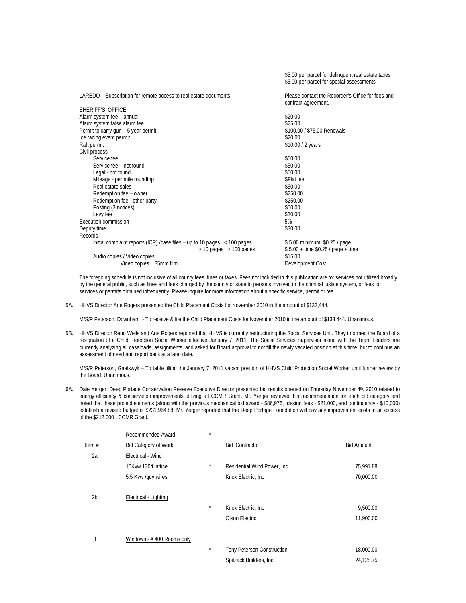|                                                                              | \$5.00 per parcel for delinquent real estate taxes<br>\$5.00 per parcel for special assessments |
|------------------------------------------------------------------------------|-------------------------------------------------------------------------------------------------|
| LAREDO – Subscription for remote access to real estate documents             | Please contact the Recorder's Office for fees and<br>contract agreement.                        |
| SHERIFF'S OFFICE                                                             |                                                                                                 |
| Alarm system fee - annual                                                    | \$20.00                                                                                         |
| Alarm system false alarm fee                                                 | \$25.00                                                                                         |
| Permit to carry gun - 5 year permit                                          | \$100.00 / \$75.00 Renewals                                                                     |
| Ice racing event permit                                                      | \$20.00                                                                                         |
| Raft permit                                                                  | \$10.00 / 2 years                                                                               |
| Civil process                                                                |                                                                                                 |
| Service fee                                                                  | \$50.00                                                                                         |
| Service fee - not found                                                      | \$50.00                                                                                         |
| Legal - not found                                                            | \$50.00                                                                                         |
| Mileage - per mile roundtrip                                                 | \$Flat fee                                                                                      |
| Real estate sales                                                            | \$50.00                                                                                         |
| Redemption fee - owner                                                       | \$250.00                                                                                        |
| Redemption fee - other party                                                 | \$250.00                                                                                        |
| Posting (3 notices)                                                          | \$50.00                                                                                         |
| Levy fee                                                                     | \$20.00                                                                                         |
| Execution commission                                                         | 5%                                                                                              |
| Deputy time                                                                  | \$30.00                                                                                         |
| Records                                                                      |                                                                                                 |
| Initial complaint reports (ICR) /case files – up to 10 pages $\lt$ 100 pages | \$5.00 minimum \$0.25 / page                                                                    |
| $>$ 10 pages $>$ 100 pages                                                   | $$5.00 + time $0.25 / page + time$                                                              |
| Audio copies / Video copies                                                  | \$15.00                                                                                         |
| Video copies 35mm film                                                       | Development Cost                                                                                |

The foregoing schedule is not inclusive of all county fees, fines or taxes. Fees not included in this publication are for services not utilized broadly by the general public, such as fines and fees charged by the county or state to persons involved in the criminal justice system, or fees for services or permits obtained infrequently. Please inquire for more information about a specific service, permit or fee.

5A. HHVS Director Ane Rogers presented the Child Placement Costs for November 2010 in the amount of \$133,444.

M/S/P Peterson, Downham - To receive & file the Child Placement Costs for November 2010 in the amount of \$133,444. Unanimous.

5B. HHVS Director Reno Wells and Ane Rogers reported that HHVS is currently restructuring the Social Services Unit. They informed the Board of a resignation of a Child Protection Social Worker effective January 7, 2011. The Social Services Supervisor along with the Team Leaders are currently analyzing all caseloads, assignments, and asked for Board approval to not fill the newly vacated position at this time, but to continue an assessment of need and report back at a later date.

M/S/P Peterson, Gaalswyk – To table filling the January 7, 2011 vacant position of HHVS Child Protection Social Worker until further review by the Board. Unanimous.

6A. Dale Yerger, Deep Portage Conservation Reserve Executive Director presented bid results opened on Thursday November 4<sup>th</sup>, 2010 related to energy efficiency & conservation improvements utilizing a LCCMR Grant. Mr. Yerger reviewed his recommendation for each bid category and noted that these project elements (along with the previous mechanical bid award - \$86,976, design fees - \$21,000, and contingency - \$10,000) establish a revised budget of \$231,964.88. Mr. Yerger reported that the Deep Portage Foundation will pay any improvement costs in an excess of the \$212,000 LCCMR Grant.

|                | Recommended Award           | $\star$ |                                   |                   |
|----------------|-----------------------------|---------|-----------------------------------|-------------------|
| Item $#$       | <b>Bid Category of Work</b> |         | <b>Bid Contractor</b>             | <b>Bid Amount</b> |
| 2a             | Electrical - Wind           |         |                                   |                   |
|                | 10Kvw 130ft lattice         | $\star$ | Residential Wind Power, Inc.      | 75,991.88         |
|                | 5.5 Kvw /guy wires          |         | Knox Electric, Inc.               | 70,000.00         |
| 2 <sub>b</sub> | Electrical - Lighting       |         |                                   |                   |
|                |                             | $\star$ | Knox Electric, Inc.               | 9,500.00          |
|                |                             |         | Olson Electric                    | 11,900.00         |
| 3              | Windows - #400 Rooms only   |         |                                   |                   |
|                |                             | $\star$ | <b>Tony Peterson Construction</b> | 18,000.00         |
|                |                             |         | Spitzack Builders, Inc.           | 24,128.75         |
|                |                             |         |                                   |                   |